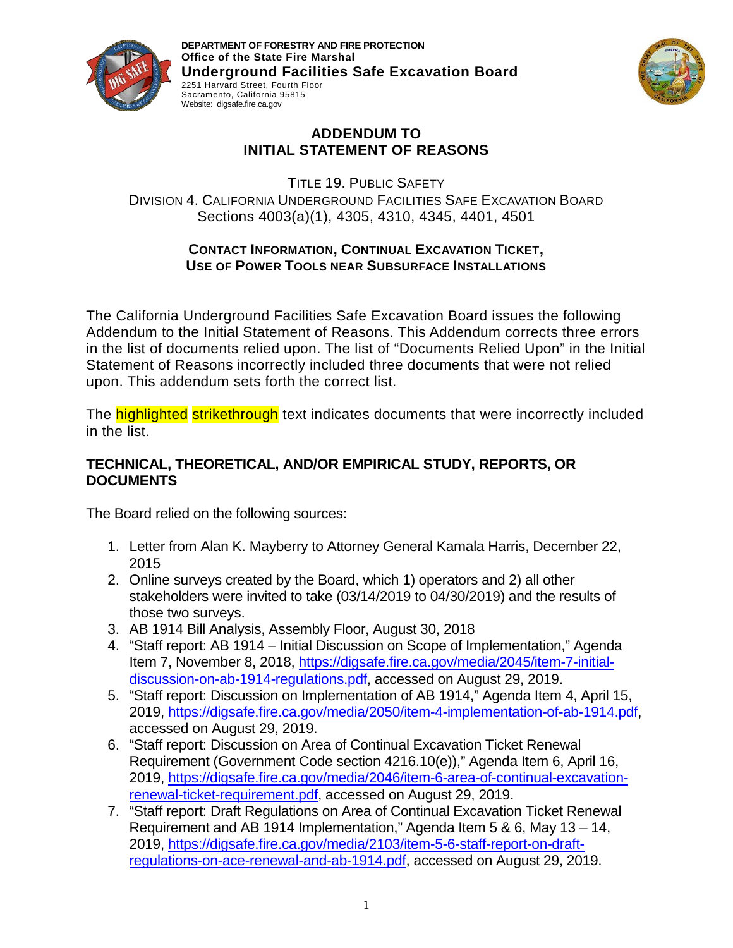

**DEPARTMENT OF FORESTRY AND FIRE PROTECTION Office of the State Fire Marshal Underground Facilities Safe Excavation Board**  2251 Harvard Street, Fourth Floor Sacramento, California 95815 Website: digsafe.fire.ca.gov



## **ADDENDUM TO INITIAL STATEMENT OF REASONS**

TITLE 19. PUBLIC SAFETY DIVISION 4. CALIFORNIA UNDERGROUND FACILITIES SAFE EXCAVATION BOARD Sections 4003(a)(1), 4305, 4310, 4345, 4401, 4501

## **CONTACT INFORMATION, CONTINUAL EXCAVATION TICKET, USE OF POWER TOOLS NEAR SUBSURFACE INSTALLATIONS**

The California Underground Facilities Safe Excavation Board issues the following Addendum to the Initial Statement of Reasons. This Addendum corrects three errors in the list of documents relied upon. The list of "Documents Relied Upon" in the Initial Statement of Reasons incorrectly included three documents that were not relied upon. This addendum sets forth the correct list.

The highlighted strikethrough text indicates documents that were incorrectly included in the list.

## **TECHNICAL, THEORETICAL, AND/OR EMPIRICAL STUDY, REPORTS, OR DOCUMENTS**

The Board relied on the following sources:

- 1. Letter from Alan K. Mayberry to Attorney General Kamala Harris, December 22, 2015
- 2. Online surveys created by the Board, which 1) operators and 2) all other stakeholders were invited to take (03/14/2019 to 04/30/2019) and the results of those two surveys.
- 3. AB 1914 Bill Analysis, Assembly Floor, August 30, 2018
- 4. "Staff report: AB 1914 Initial Discussion on Scope of Implementation," Agenda Item 7, November 8, 2018, [https://digsafe.fire.ca.gov/media/2045/item-7-initial](https://digsafe.fire.ca.gov/media/2045/item-7-initial-discussion-on-ab-1914-regulations.pdf)[discussion-on-ab-1914-regulations.pdf,](https://digsafe.fire.ca.gov/media/2045/item-7-initial-discussion-on-ab-1914-regulations.pdf) accessed on August 29, 2019.
- 5. "Staff report: Discussion on Implementation of AB 1914," Agenda Item 4, April 15, 2019, [https://digsafe.fire.ca.gov/media/2050/item-4-implementation-of-ab-1914.pdf,](https://digsafe.fire.ca.gov/media/2050/item-4-implementation-of-ab-1914.pdf) accessed on August 29, 2019.
- 6. "Staff report: Discussion on Area of Continual Excavation Ticket Renewal Requirement (Government Code section 4216.10(e))," Agenda Item 6, April 16, 2019, [https://digsafe.fire.ca.gov/media/2046/item-6-area-of-continual-excavation](https://digsafe.fire.ca.gov/media/2046/item-6-area-of-continual-excavation-renewal-ticket-requirement.pdf)[renewal-ticket-requirement.pdf,](https://digsafe.fire.ca.gov/media/2046/item-6-area-of-continual-excavation-renewal-ticket-requirement.pdf) accessed on August 29, 2019.
- 7. "Staff report: Draft Regulations on Area of Continual Excavation Ticket Renewal Requirement and AB 1914 Implementation," Agenda Item 5 & 6, May 13 – 14, 2019, [https://digsafe.fire.ca.gov/media/2103/item-5-6-staff-report-on-draft](https://digsafe.fire.ca.gov/media/2103/item-5-6-staff-report-on-draft-regulations-on-ace-renewal-and-ab-1914.pdf)[regulations-on-ace-renewal-and-ab-1914.pdf,](https://digsafe.fire.ca.gov/media/2103/item-5-6-staff-report-on-draft-regulations-on-ace-renewal-and-ab-1914.pdf) accessed on August 29, 2019.